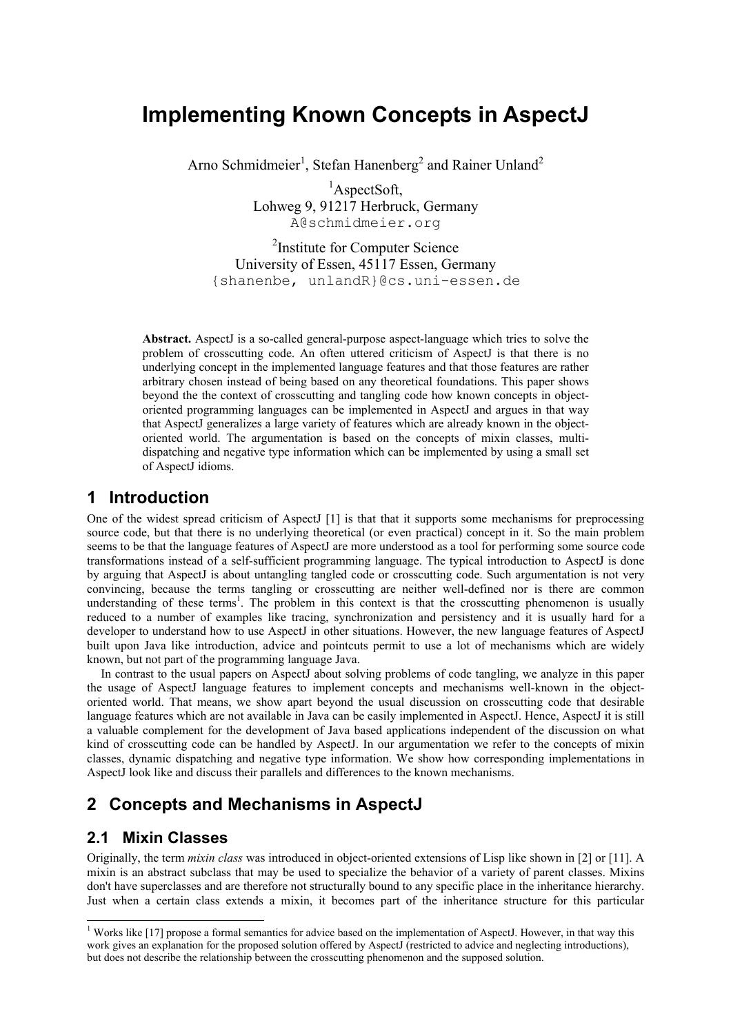# **Implementing Known Concepts in AspectJ**

Arno Schmidmeier<sup>1</sup>, Stefan Hanenberg<sup>2</sup> and Rainer Unland<sup>2</sup>

<sup>1</sup>AspectSoft, Lohweg 9, 91217 Herbruck, Germany A@schmidmeier.org

2 Institute for Computer Science University of Essen, 45117 Essen, Germany {shanenbe, unlandR}@cs.uni-essen.de

**Abstract.** AspectJ is a so-called general-purpose aspect-language which tries to solve the problem of crosscutting code. An often uttered criticism of AspectJ is that there is no underlying concept in the implemented language features and that those features are rather arbitrary chosen instead of being based on any theoretical foundations. This paper shows beyond the the context of crosscutting and tangling code how known concepts in objectoriented programming languages can be implemented in AspectJ and argues in that way that AspectJ generalizes a large variety of features which are already known in the objectoriented world. The argumentation is based on the concepts of mixin classes, multidispatching and negative type information which can be implemented by using a small set of AspectJ idioms.

# **1 Introduction**

One of the widest spread criticism of AspectJ [1] is that that it supports some mechanisms for preprocessing source code, but that there is no underlying theoretical (or even practical) concept in it. So the main problem seems to be that the language features of AspectJ are more understood as a tool for performing some source code transformations instead of a self-sufficient programming language. The typical introduction to AspectJ is done by arguing that AspectJ is about untangling tangled code or crosscutting code. Such argumentation is not very convincing, because the terms tangling or crosscutting are neither well-defined nor is there are common understanding of these terms<sup>1</sup>. The problem in this context is that the crosscutting phenomenon is usually reduced to a number of examples like tracing, synchronization and persistency and it is usually hard for a developer to understand how to use AspectJ in other situations. However, the new language features of AspectJ built upon Java like introduction, advice and pointcuts permit to use a lot of mechanisms which are widely known, but not part of the programming language Java.

In contrast to the usual papers on AspectJ about solving problems of code tangling, we analyze in this paper the usage of AspectJ language features to implement concepts and mechanisms well-known in the objectoriented world. That means, we show apart beyond the usual discussion on crosscutting code that desirable language features which are not available in Java can be easily implemented in AspectJ. Hence, AspectJ it is still a valuable complement for the development of Java based applications independent of the discussion on what kind of crosscutting code can be handled by AspectJ. In our argumentation we refer to the concepts of mixin classes, dynamic dispatching and negative type information. We show how corresponding implementations in AspectJ look like and discuss their parallels and differences to the known mechanisms.

# **2 Concepts and Mechanisms in AspectJ**

# **2.1 Mixin Classes**

Originally, the term *mixin class* was introduced in object-oriented extensions of Lisp like shown in [2] or [11]. A mixin is an abstract subclass that may be used to specialize the behavior of a variety of parent classes. Mixins don't have superclasses and are therefore not structurally bound to any specific place in the inheritance hierarchy. Just when a certain class extends a mixin, it becomes part of the inheritance structure for this particular

 1 Works like [17] propose a formal semantics for advice based on the implementation of AspectJ. However, in that way this work gives an explanation for the proposed solution offered by AspectJ (restricted to advice and neglecting introductions), but does not describe the relationship between the crosscutting phenomenon and the supposed solution.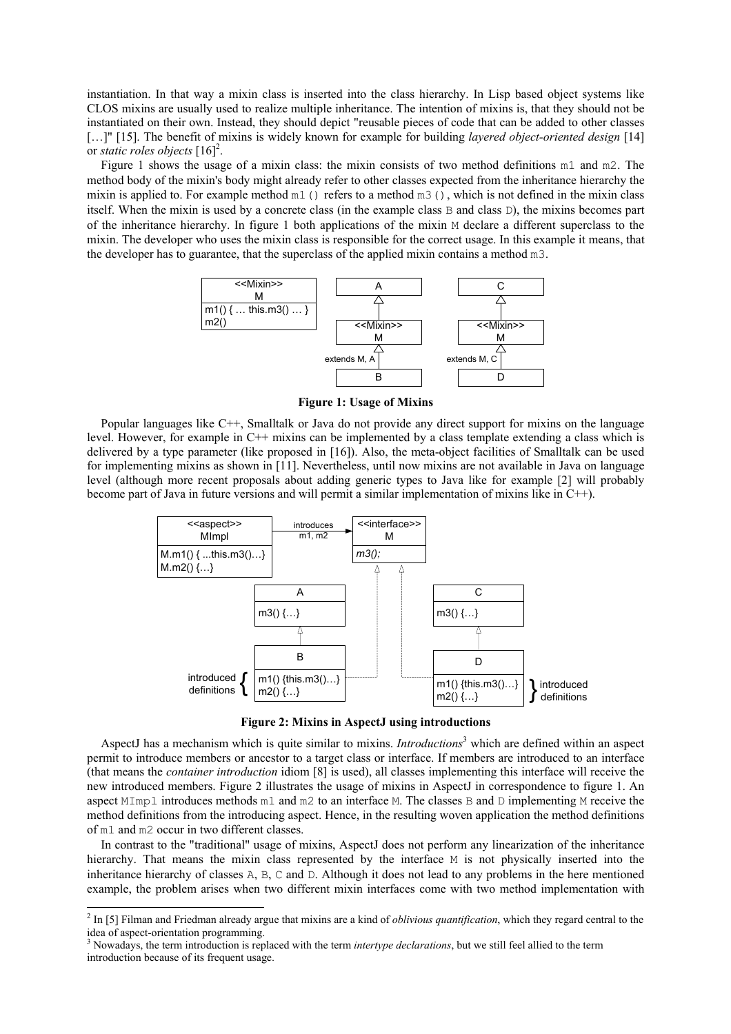instantiation. In that way a mixin class is inserted into the class hierarchy. In Lisp based object systems like CLOS mixins are usually used to realize multiple inheritance. The intention of mixins is, that they should not be instantiated on their own. Instead, they should depict "reusable pieces of code that can be added to other classes […]" [15]. The benefit of mixins is widely known for example for building *layered object-oriented design* [14] or *static roles objects* [16]<sup>2</sup>.

Figure 1 shows the usage of a mixin class: the mixin consists of two method definitions m1 and m2. The method body of the mixin's body might already refer to other classes expected from the inheritance hierarchy the mixin is applied to. For example method m1() refers to a method m3(), which is not defined in the mixin class itself. When the mixin is used by a concrete class (in the example class B and class D), the mixins becomes part of the inheritance hierarchy. In figure 1 both applications of the mixin M declare a different superclass to the mixin. The developer who uses the mixin class is responsible for the correct usage. In this example it means, that the developer has to guarantee, that the superclass of the applied mixin contains a method m3.



**Figure 1: Usage of Mixins** 

Popular languages like C++, Smalltalk or Java do not provide any direct support for mixins on the language level. However, for example in C++ mixins can be implemented by a class template extending a class which is delivered by a type parameter (like proposed in [16]). Also, the meta-object facilities of Smalltalk can be used for implementing mixins as shown in [11]. Nevertheless, until now mixins are not available in Java on language level (although more recent proposals about adding generic types to Java like for example [2] will probably become part of Java in future versions and will permit a similar implementation of mixins like in C++).



**Figure 2: Mixins in AspectJ using introductions** 

AspectJ has a mechanism which is quite similar to mixins. *Introductions*<sup>3</sup> which are defined within an aspect permit to introduce members or ancestor to a target class or interface. If members are introduced to an interface (that means the *container introduction* idiom [8] is used), all classes implementing this interface will receive the new introduced members. Figure 2 illustrates the usage of mixins in AspectJ in correspondence to figure 1. An aspect MImpl introduces methods m1 and m2 to an interface M. The classes B and D implementing M receive the method definitions from the introducing aspect. Hence, in the resulting woven application the method definitions of m1 and m2 occur in two different classes.

In contrast to the "traditional" usage of mixins, AspectJ does not perform any linearization of the inheritance hierarchy. That means the mixin class represented by the interface M is not physically inserted into the inheritance hierarchy of classes A, B, C and D. Although it does not lead to any problems in the here mentioned example, the problem arises when two different mixin interfaces come with two method implementation with

 2 In [5] Filman and Friedman already argue that mixins are a kind of *oblivious quantification*, which they regard central to the idea of aspect-orientation programming.

<sup>3</sup> Nowadays, the term introduction is replaced with the term *intertype declarations*, but we still feel allied to the term introduction because of its frequent usage.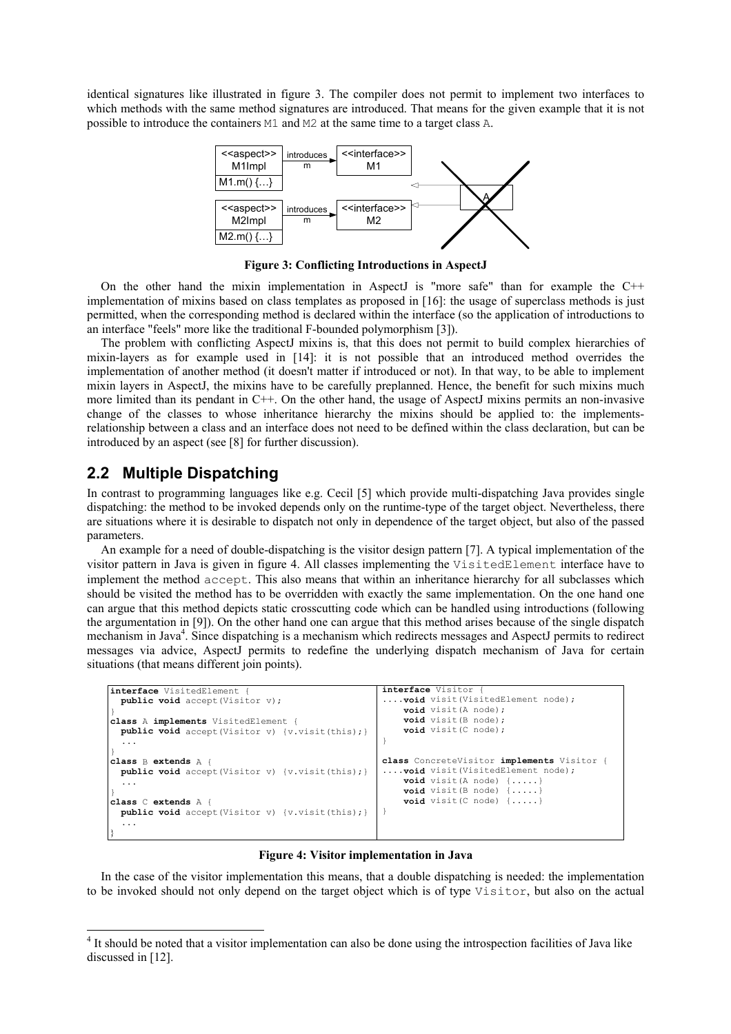identical signatures like illustrated in figure 3. The compiler does not permit to implement two interfaces to which methods with the same method signatures are introduced. That means for the given example that it is not possible to introduce the containers M1 and M2 at the same time to a target class A.



**Figure 3: Conflicting Introductions in AspectJ** 

On the other hand the mixin implementation in AspectJ is "more safe" than for example the C++ implementation of mixins based on class templates as proposed in [16]: the usage of superclass methods is just permitted, when the corresponding method is declared within the interface (so the application of introductions to an interface "feels" more like the traditional F-bounded polymorphism [3]).

The problem with conflicting AspectJ mixins is, that this does not permit to build complex hierarchies of mixin-layers as for example used in [14]: it is not possible that an introduced method overrides the implementation of another method (it doesn't matter if introduced or not). In that way, to be able to implement mixin layers in AspectJ, the mixins have to be carefully preplanned. Hence, the benefit for such mixins much more limited than its pendant in C++. On the other hand, the usage of AspectJ mixins permits an non-invasive change of the classes to whose inheritance hierarchy the mixins should be applied to: the implementsrelationship between a class and an interface does not need to be defined within the class declaration, but can be introduced by an aspect (see [8] for further discussion).

#### **2.2 Multiple Dispatching**

-

In contrast to programming languages like e.g. Cecil [5] which provide multi-dispatching Java provides single dispatching: the method to be invoked depends only on the runtime-type of the target object. Nevertheless, there are situations where it is desirable to dispatch not only in dependence of the target object, but also of the passed parameters.

An example for a need of double-dispatching is the visitor design pattern [7]. A typical implementation of the visitor pattern in Java is given in figure 4. All classes implementing the VisitedElement interface have to implement the method accept. This also means that within an inheritance hierarchy for all subclasses which should be visited the method has to be overridden with exactly the same implementation. On the one hand one can argue that this method depicts static crosscutting code which can be handled using introductions (following the argumentation in [9]). On the other hand one can argue that this method arises because of the single dispatch mechanism in Java<sup>4</sup>. Since dispatching is a mechanism which redirects messages and AspectJ permits to redirect messages via advice, AspectJ permits to redefine the underlying dispatch mechanism of Java for certain situations (that means different join points).

```
interface VisitedElement { 
  public void accept(Visitor v); 
}
class A implements VisitedElement { 
 public void accept(Visitor v) {v.visit(this);}
   ... 
} 
class B extends A { 
  public void accept(Visitor v) {v.visit(this);} 
 ... 
}
class C extends A { 
  public void accept(Visitor v) {v.visit(this);} 
 ... 
} 
                                                       interface Visitor {
                                                       ....void visit(VisitedElement node); 
                                                            void visit(A node); 
                                                            void visit(B node); 
                                                            void visit(C node); 
                                                       } 
                                                       class ConcreteVisitor implements Visitor {
                                                       ....void visit(VisitedElement node); 
                                                            void visit(A node) {.....} 
                                                            void visit(B node) {.....} 
                                                            void visit(C node) {.....} 
                                                       }
```
**Figure 4: Visitor implementation in Java** 

In the case of the visitor implementation this means, that a double dispatching is needed: the implementation to be invoked should not only depend on the target object which is of type Visitor, but also on the actual

<sup>&</sup>lt;sup>4</sup> It should be noted that a visitor implementation can also be done using the introspection facilities of Java like discussed in [12].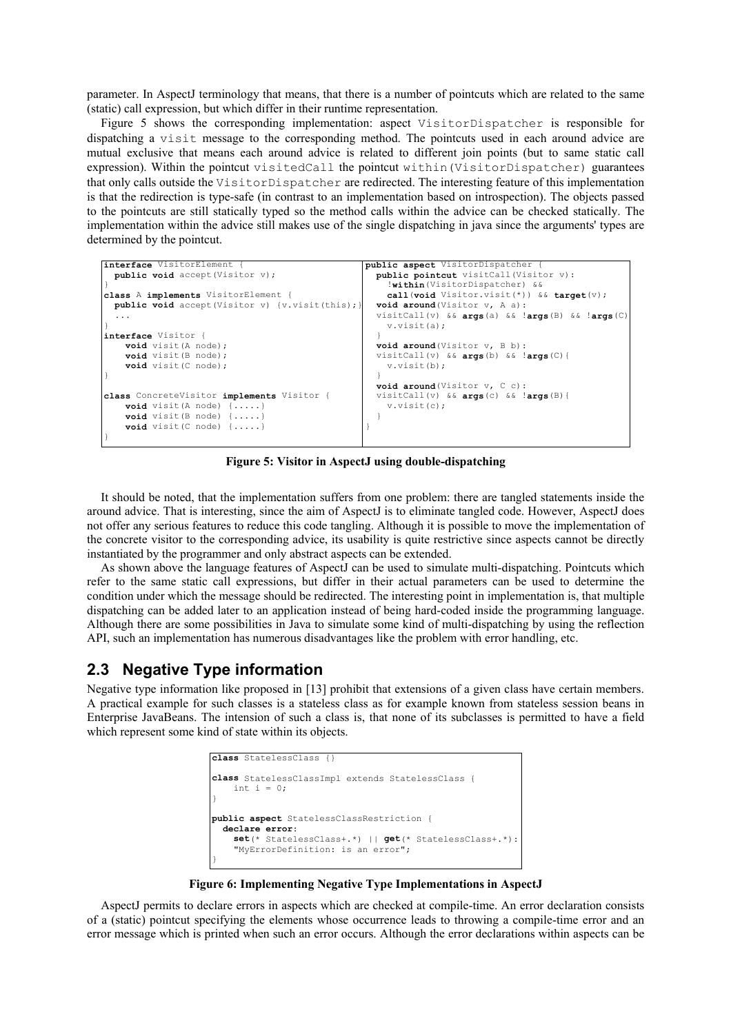parameter. In AspectJ terminology that means, that there is a number of pointcuts which are related to the same (static) call expression, but which differ in their runtime representation.

Figure 5 shows the corresponding implementation: aspect VisitorDispatcher is responsible for dispatching a visit message to the corresponding method. The pointcuts used in each around advice are mutual exclusive that means each around advice is related to different join points (but to same static call expression). Within the pointcut visitedCall the pointcut within (VisitorDispatcher) guarantees that only calls outside the VisitorDispatcher are redirected. The interesting feature of this implementation is that the redirection is type-safe (in contrast to an implementation based on introspection). The objects passed to the pointcuts are still statically typed so the method calls within the advice can be checked statically. The implementation within the advice still makes use of the single dispatching in java since the arguments' types are determined by the pointcut.

```
interface VisitorElement { 
  public void accept(Visitor v); 
}
class A implements VisitorElement { 
  public void accept(Visitor v) {v.visit(this);}
 ... 
} 
interface Visitor { 
     void visit(A node); 
     void visit(B node); 
     void visit(C node); 
} 
class ConcreteVisitor implements Visitor { 
     void visit(A node) {.....} 
     void visit(B node) {.....} 
     void visit(C node) {.....} 
} 
                                                     public aspect VisitorDispatcher { 
                                                        public pointcut visitCall(Visitor v): 
                                                          !within(VisitorDispatcher) && 
                                                          call(void Visitor.visit(*)) && target(v); 
                                                        void around(Visitor v, A a): 
                                                        visitCall(v) && args(a) && !args(B) && !args(C){
                                                          v.visit(a); 
                                                      } 
                                                      void around(Visitor v, B b): 
                                                        visitCall(v) && args(b) && !args(C){ 
                                                          v.visit(b); 
                                                      } 
                                                        void around(Visitor v, C c): 
                                                        visitCall(v) && args(c) && !args(B){ 
                                                          v.visit(c); 
                                                        } 
                                                     }
```
**Figure 5: Visitor in AspectJ using double-dispatching** 

It should be noted, that the implementation suffers from one problem: there are tangled statements inside the around advice. That is interesting, since the aim of AspectJ is to eliminate tangled code. However, AspectJ does not offer any serious features to reduce this code tangling. Although it is possible to move the implementation of the concrete visitor to the corresponding advice, its usability is quite restrictive since aspects cannot be directly instantiated by the programmer and only abstract aspects can be extended.

As shown above the language features of AspectJ can be used to simulate multi-dispatching. Pointcuts which refer to the same static call expressions, but differ in their actual parameters can be used to determine the condition under which the message should be redirected. The interesting point in implementation is, that multiple dispatching can be added later to an application instead of being hard-coded inside the programming language. Although there are some possibilities in Java to simulate some kind of multi-dispatching by using the reflection API, such an implementation has numerous disadvantages like the problem with error handling, etc.

#### **2.3 Negative Type information**

Negative type information like proposed in [13] prohibit that extensions of a given class have certain members. A practical example for such classes is a stateless class as for example known from stateless session beans in Enterprise JavaBeans. The intension of such a class is, that none of its subclasses is permitted to have a field which represent some kind of state within its objects.

```
class StatelessClass {} 
class StatelessClassImpl extends StatelessClass { 
    int i = 0;
} 
public aspect StatelessClassRestriction { 
   declare error: 
     set(* StatelessClass+.*) || get(* StatelessClass+.*): 
     "MyErrorDefinition: is an error"; 
}
```
**Figure 6: Implementing Negative Type Implementations in AspectJ** 

AspectJ permits to declare errors in aspects which are checked at compile-time. An error declaration consists of a (static) pointcut specifying the elements whose occurrence leads to throwing a compile-time error and an error message which is printed when such an error occurs. Although the error declarations within aspects can be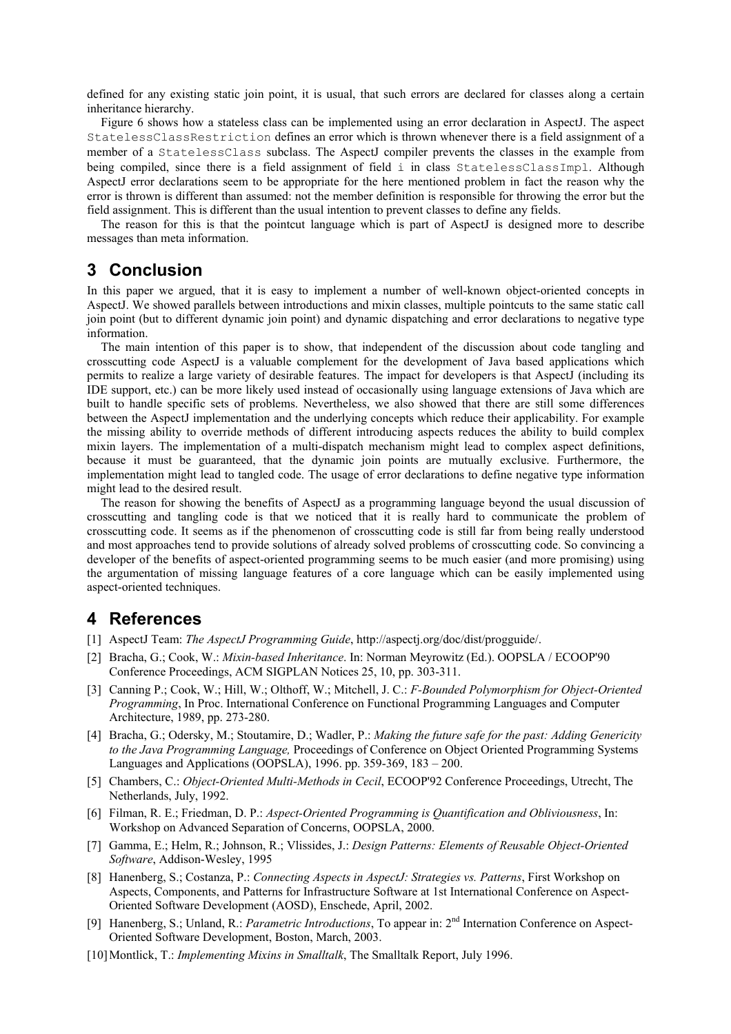defined for any existing static join point, it is usual, that such errors are declared for classes along a certain inheritance hierarchy.

Figure 6 shows how a stateless class can be implemented using an error declaration in AspectJ. The aspect StatelessClassRestriction defines an error which is thrown whenever there is a field assignment of a member of a StatelessClass subclass. The AspectJ compiler prevents the classes in the example from being compiled, since there is a field assignment of field i in class StatelessClassImpl. Although AspectJ error declarations seem to be appropriate for the here mentioned problem in fact the reason why the error is thrown is different than assumed: not the member definition is responsible for throwing the error but the field assignment. This is different than the usual intention to prevent classes to define any fields.

The reason for this is that the pointcut language which is part of AspectJ is designed more to describe messages than meta information.

# **3 Conclusion**

In this paper we argued, that it is easy to implement a number of well-known object-oriented concepts in AspectJ. We showed parallels between introductions and mixin classes, multiple pointcuts to the same static call join point (but to different dynamic join point) and dynamic dispatching and error declarations to negative type information.

The main intention of this paper is to show, that independent of the discussion about code tangling and crosscutting code AspectJ is a valuable complement for the development of Java based applications which permits to realize a large variety of desirable features. The impact for developers is that AspectJ (including its IDE support, etc.) can be more likely used instead of occasionally using language extensions of Java which are built to handle specific sets of problems. Nevertheless, we also showed that there are still some differences between the AspectJ implementation and the underlying concepts which reduce their applicability. For example the missing ability to override methods of different introducing aspects reduces the ability to build complex mixin layers. The implementation of a multi-dispatch mechanism might lead to complex aspect definitions, because it must be guaranteed, that the dynamic join points are mutually exclusive. Furthermore, the implementation might lead to tangled code. The usage of error declarations to define negative type information might lead to the desired result.

The reason for showing the benefits of AspectJ as a programming language beyond the usual discussion of crosscutting and tangling code is that we noticed that it is really hard to communicate the problem of crosscutting code. It seems as if the phenomenon of crosscutting code is still far from being really understood and most approaches tend to provide solutions of already solved problems of crosscutting code. So convincing a developer of the benefits of aspect-oriented programming seems to be much easier (and more promising) using the argumentation of missing language features of a core language which can be easily implemented using aspect-oriented techniques.

# **4 References**

- [1] AspectJ Team: *The AspectJ Programming Guide*, http://aspectj.org/doc/dist/progguide/.
- [2] Bracha, G.; Cook, W.: *Mixin-based Inheritance*. In: Norman Meyrowitz (Ed.). OOPSLA / ECOOP'90 Conference Proceedings, ACM SIGPLAN Notices 25, 10, pp. 303-311.
- [3] Canning P.; Cook, W.; Hill, W.; Olthoff, W.; Mitchell, J. C.: *F-Bounded Polymorphism for Object-Oriented Programming*, In Proc. International Conference on Functional Programming Languages and Computer Architecture, 1989, pp. 273-280.
- [4] Bracha, G.; Odersky, M.; Stoutamire, D.; Wadler, P.: *Making the future safe for the past: Adding Genericity to the Java Programming Language,* Proceedings of Conference on Object Oriented Programming Systems Languages and Applications (OOPSLA), 1996. pp. 359-369, 183 – 200.
- [5] Chambers, C.: *Object-Oriented Multi-Methods in Cecil*, ECOOP'92 Conference Proceedings, Utrecht, The Netherlands, July, 1992.
- [6] Filman, R. E.; Friedman, D. P.: *Aspect-Oriented Programming is Quantification and Obliviousness*, In: Workshop on Advanced Separation of Concerns, OOPSLA, 2000.
- [7] Gamma, E.; Helm, R.; Johnson, R.; Vlissides, J.: *Design Patterns: Elements of Reusable Object-Oriented Software*, Addison-Wesley, 1995
- [8] Hanenberg, S.; Costanza, P.: *Connecting Aspects in AspectJ: Strategies vs. Patterns*, First Workshop on Aspects, Components, and Patterns for Infrastructure Software at 1st International Conference on Aspect-Oriented Software Development (AOSD), Enschede, April, 2002.
- [9] Hanenberg, S.; Unland, R.: *Parametric Introductions*, To appear in: 2nd Internation Conference on Aspect-Oriented Software Development, Boston, March, 2003.
- [10] Montlick, T.: *Implementing Mixins in Smalltalk*, The Smalltalk Report, July 1996.